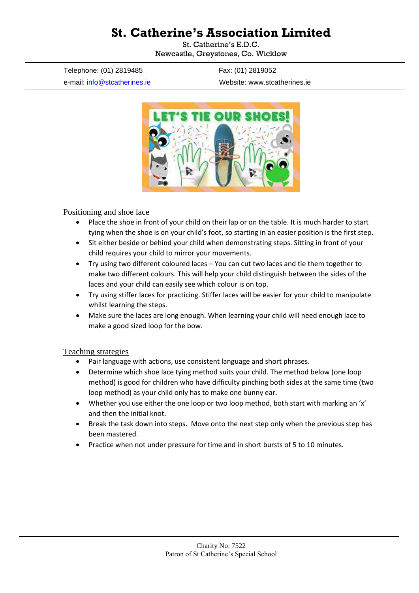# **St. Catherine's Association Limited**

St. Catherine's E.D.C. Newcastle, Greystones, Co. Wicklow

Telephone: (01) 2819485 Fax: (01) 2819052

e-mail: [info@stcatherines.ie](mailto:info@stcatherines.ie) Website: www.stcatherines.ie



#### Positioning and shoe lace

- Place the shoe in front of your child on their lap or on the table. It is much harder to start tying when the shoe is on your child's foot, so starting in an easier position is the first step.
- Sit either beside or behind your child when demonstrating steps. Sitting in front of your child requires your child to mirror your movements.
- Try using two different coloured laces You can cut two laces and tie them together to make two different colours. This will help your child distinguish between the sides of the laces and your child can easily see which colour is on top.
- Try using stiffer laces for practicing. Stiffer laces will be easier for your child to manipulate whilst learning the steps.
- Make sure the laces are long enough. When learning your child will need enough lace to make a good sized loop for the bow.

#### Teaching strategies

- Pair language with actions, use consistent language and short phrases.
- Determine which shoe lace tying method suits your child. The method below (one loop method) is good for children who have difficulty pinching both sides at the same time (two loop method) as your child only has to make one bunny ear.
- Whether you use either the one loop or two loop method, both start with marking an 'x' and then the initial knot.
- Break the task down into steps. Move onto the next step only when the previous step has been mastered.
- Practice when not under pressure for time and in short bursts of 5 to 10 minutes.